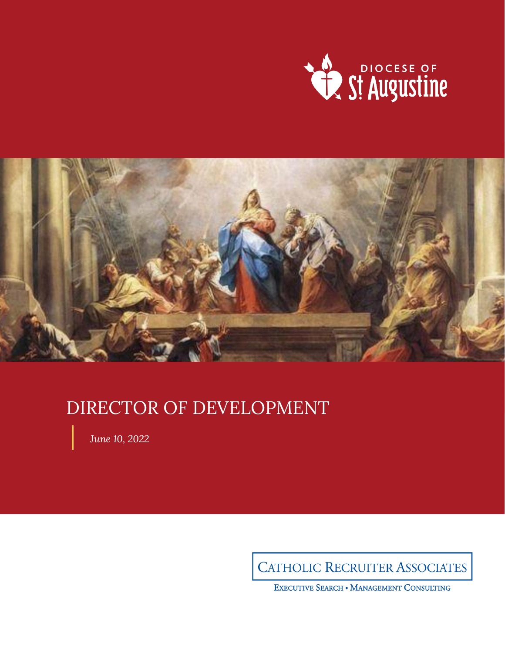



# DIRECTOR OF DEVELOPMENT

*June 10, 2022*

**CATHOLIC RECRUITER ASSOCIATES** 

EXECUTIVE SEARCH . MANAGEMENT CONSULTING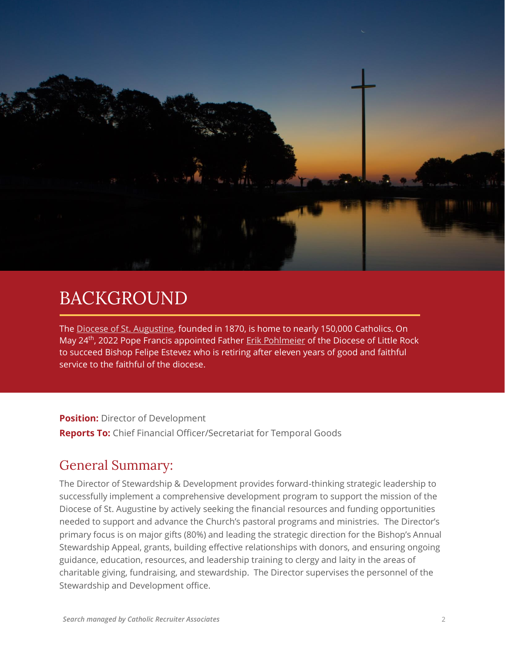

## BACKGROUND

The [Diocese of St. Augustine,](https://www.dosafl.com/) founded in 1870, is home to nearly 150,000 Catholics. On May 24<sup>th</sup>, 2022 Pope Francis appointed Father **[Erik Pohlmeier](https://www.dosafl.com/wp-content/uploads/2022/05/fact-sheet-pohlmeier-2022.pdf)** of the Diocese of Little Rock to succeed Bishop Felipe Estevez who is retiring after eleven years of good and faithful service to the faithful of the diocese.

**Position:** Director of Development **Reports To:** Chief Financial Officer/Secretariat for Temporal Goods

#### General Summary:

The Director of Stewardship & Development provides forward-thinking strategic leadership to successfully implement a comprehensive development program to support the mission of the Diocese of St. Augustine by actively seeking the financial resources and funding opportunities needed to support and advance the Church's pastoral programs and ministries. The Director's primary focus is on major gifts (80%) and leading the strategic direction for the Bishop's Annual Stewardship Appeal, grants, building effective relationships with donors, and ensuring ongoing guidance, education, resources, and leadership training to clergy and laity in the areas of charitable giving, fundraising, and stewardship. The Director supervises the personnel of the Stewardship and Development office.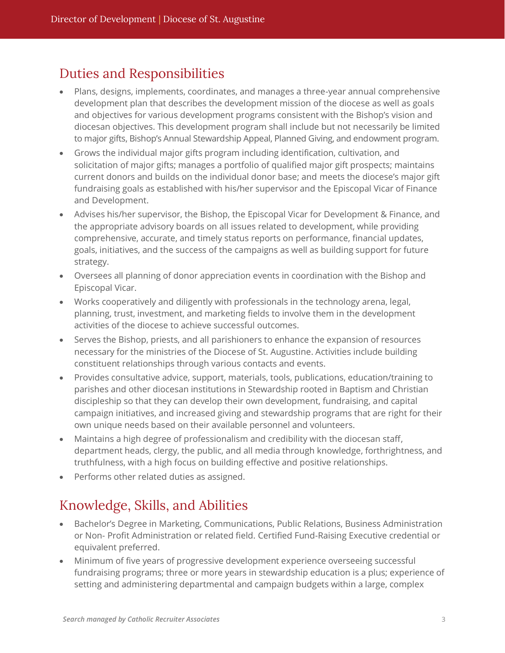#### Duties and Responsibilities

- Plans, designs, implements, coordinates, and manages a three-year annual comprehensive development plan that describes the development mission of the diocese as well as goals and objectives for various development programs consistent with the Bishop's vision and diocesan objectives. This development program shall include but not necessarily be limited to major gifts, Bishop's Annual Stewardship Appeal, Planned Giving, and endowment program.
- Grows the individual major gifts program including identification, cultivation, and solicitation of major gifts; manages a portfolio of qualified major gift prospects; maintains current donors and builds on the individual donor base; and meets the diocese's major gift fundraising goals as established with his/her supervisor and the Episcopal Vicar of Finance and Development.
- Advises his/her supervisor, the Bishop, the Episcopal Vicar for Development & Finance, and the appropriate advisory boards on all issues related to development, while providing comprehensive, accurate, and timely status reports on performance, financial updates, goals, initiatives, and the success of the campaigns as well as building support for future strategy.
- Oversees all planning of donor appreciation events in coordination with the Bishop and Episcopal Vicar.
- Works cooperatively and diligently with professionals in the technology arena, legal, planning, trust, investment, and marketing fields to involve them in the development activities of the diocese to achieve successful outcomes.
- Serves the Bishop, priests, and all parishioners to enhance the expansion of resources necessary for the ministries of the Diocese of St. Augustine. Activities include building constituent relationships through various contacts and events.
- Provides consultative advice, support, materials, tools, publications, education/training to parishes and other diocesan institutions in Stewardship rooted in Baptism and Christian discipleship so that they can develop their own development, fundraising, and capital campaign initiatives, and increased giving and stewardship programs that are right for their own unique needs based on their available personnel and volunteers.
- Maintains a high degree of professionalism and credibility with the diocesan staff, department heads, clergy, the public, and all media through knowledge, forthrightness, and truthfulness, with a high focus on building effective and positive relationships.
- Performs other related duties as assigned.

### Knowledge, Skills, and Abilities

- Bachelor's Degree in Marketing, Communications, Public Relations, Business Administration or Non- Profit Administration or related field. Certified Fund-Raising Executive credential or equivalent preferred.
- Minimum of five years of progressive development experience overseeing successful fundraising programs; three or more years in stewardship education is a plus; experience of setting and administering departmental and campaign budgets within a large, complex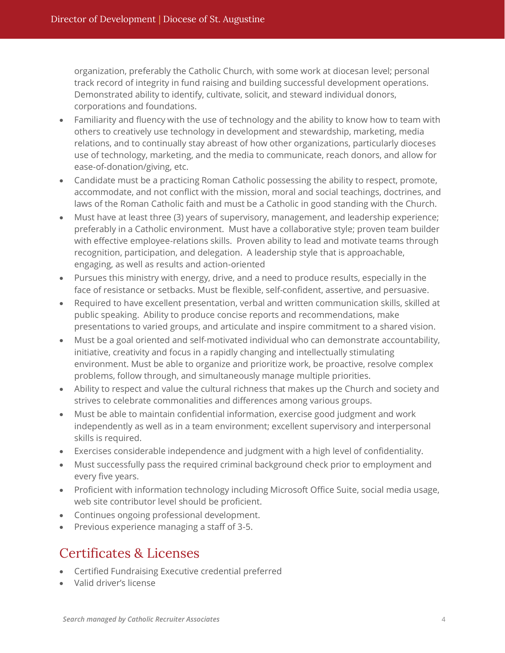organization, preferably the Catholic Church, with some work at diocesan level; personal track record of integrity in fund raising and building successful development operations. Demonstrated ability to identify, cultivate, solicit, and steward individual donors, corporations and foundations.

- Familiarity and fluency with the use of technology and the ability to know how to team with others to creatively use technology in development and stewardship, marketing, media relations, and to continually stay abreast of how other organizations, particularly dioceses use of technology, marketing, and the media to communicate, reach donors, and allow for ease-of-donation/giving, etc.
- Candidate must be a practicing Roman Catholic possessing the ability to respect, promote, accommodate, and not conflict with the mission, moral and social teachings, doctrines, and laws of the Roman Catholic faith and must be a Catholic in good standing with the Church.
- Must have at least three (3) years of supervisory, management, and leadership experience; preferably in a Catholic environment. Must have a collaborative style; proven team builder with effective employee-relations skills. Proven ability to lead and motivate teams through recognition, participation, and delegation. A leadership style that is approachable, engaging, as well as results and action-oriented
- Pursues this ministry with energy, drive, and a need to produce results, especially in the face of resistance or setbacks. Must be flexible, self-confident, assertive, and persuasive.
- Required to have excellent presentation, verbal and written communication skills, skilled at public speaking. Ability to produce concise reports and recommendations, make presentations to varied groups, and articulate and inspire commitment to a shared vision.
- Must be a goal oriented and self-motivated individual who can demonstrate accountability, initiative, creativity and focus in a rapidly changing and intellectually stimulating environment. Must be able to organize and prioritize work, be proactive, resolve complex problems, follow through, and simultaneously manage multiple priorities.
- Ability to respect and value the cultural richness that makes up the Church and society and strives to celebrate commonalities and differences among various groups.
- Must be able to maintain confidential information, exercise good judgment and work independently as well as in a team environment; excellent supervisory and interpersonal skills is required.
- Exercises considerable independence and judgment with a high level of confidentiality.
- Must successfully pass the required criminal background check prior to employment and every five years.
- Proficient with information technology including Microsoft Office Suite, social media usage, web site contributor level should be proficient.
- Continues ongoing professional development.
- Previous experience managing a staff of 3-5.

#### Certificates & Licenses

- Certified Fundraising Executive credential preferred
- Valid driver's license